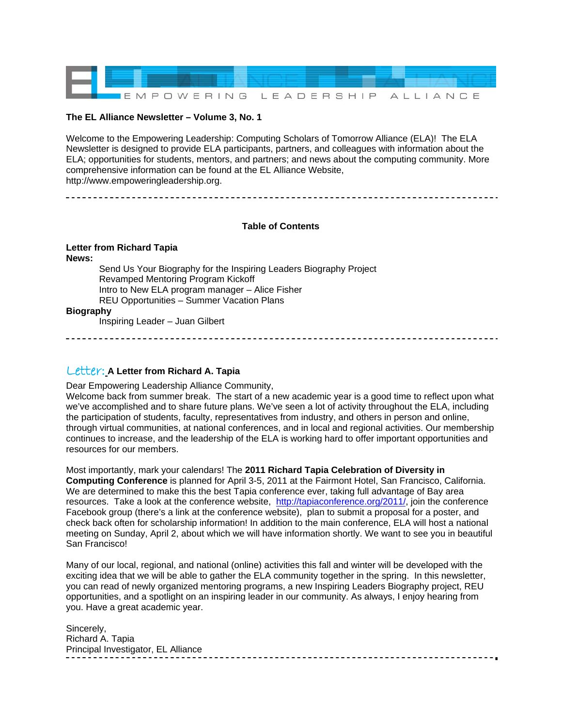

#### **The EL Alliance Newsletter – Volume 3, No. 1**

Welcome to the Empowering Leadership: Computing Scholars of Tomorrow Alliance (ELA)! The ELA Newsletter is designed to provide ELA participants, partners, and colleagues with information about the ELA; opportunities for students, mentors, and partners; and news about the computing community. More comprehensive information can be found at the EL Alliance Website, http://www.empoweringleadership.org.

#### **Table of Contents**

**Letter from Richard Tapia News:**  Send Us Your Biography for the Inspiring Leaders Biography Project Revamped Mentoring Program Kickoff Intro to New ELA program manager – Alice Fisher REU Opportunities – Summer Vacation Plans **Biography**  Inspiring Leader – Juan Gilbert

Letter: **A Letter from Richard A. Tapia** 

Dear Empowering Leadership Alliance Community, Welcome back from summer break. The start of a new academic year is a good time to reflect upon what we've accomplished and to share future plans. We've seen a lot of activity throughout the ELA, including the participation of students, faculty, representatives from industry, and others in person and online, through virtual communities, at national conferences, and in local and regional activities. Our membership continues to increase, and the leadership of the ELA is working hard to offer important opportunities and resources for our members.

Most importantly, mark your calendars! The **2011 Richard Tapia Celebration of Diversity in Computing Conference** is planned for April 3-5, 2011 at the Fairmont Hotel, San Francisco, California. We are determined to make this the best Tapia conference ever, taking full advantage of Bay area resources. Take a look at the conference website, <http://tapiaconference.org/2011/>, join the conference Facebook group (there's a link at the conference website), plan to submit a proposal for a poster, and check back often for scholarship information! In addition to the main conference, ELA will host a national meeting on Sunday, April 2, about which we will have information shortly. We want to see you in beautiful San Francisco!

Many of our local, regional, and national (online) activities this fall and winter will be developed with the exciting idea that we will be able to gather the ELA community together in the spring. In this newsletter, you can read of newly organized mentoring programs, a new Inspiring Leaders Biography project, REU opportunities, and a spotlight on an inspiring leader in our community. As always, I enjoy hearing from you. Have a great academic year.

Sincerely, Richard A. Tapia Principal Investigator, EL Alliance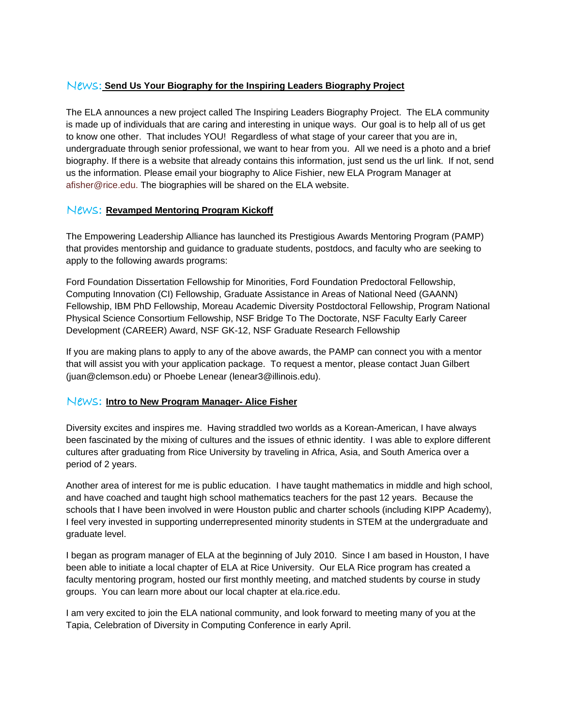## News: **Send Us Your Biography for the Inspiring Leaders Biography Project**

The ELA announces a new project called The Inspiring Leaders Biography Project. The ELA community is made up of individuals that are caring and interesting in unique ways. Our goal is to help all of us get to know one other. That includes YOU! Regardless of what stage of your career that you are in, undergraduate through senior professional, we want to hear from you. All we need is a photo and a brief biography. If there is a website that already contains this information, just send us the url link. If not, send us the information. Please email your biography to Alice Fishier, new ELA Program Manager at afisher@rice.edu. The biographies will be shared on the ELA website.

## News: **Revamped Mentoring Program Kickoff**

The Empowering Leadership Alliance has launched its Prestigious Awards Mentoring Program (PAMP) that provides mentorship and guidance to graduate students, postdocs, and faculty who are seeking to apply to the following awards programs:

Ford Foundation Dissertation Fellowship for Minorities, Ford Foundation Predoctoral Fellowship, Computing Innovation (CI) Fellowship, Graduate Assistance in Areas of National Need (GAANN) Fellowship, IBM PhD Fellowship, Moreau Academic Diversity Postdoctoral Fellowship, Program National Physical Science Consortium Fellowship, NSF Bridge To The Doctorate, NSF Faculty Early Career Development (CAREER) Award, NSF GK-12, NSF Graduate Research Fellowship

If you are making plans to apply to any of the above awards, the PAMP can connect you with a mentor that will assist you with your application package. To request a mentor, please contact Juan Gilbert (juan@clemson.edu) or Phoebe Lenear (lenear3@illinois.edu).

### News: **Intro to New Program Manager- Alice Fisher**

Diversity excites and inspires me. Having straddled two worlds as a Korean-American, I have always been fascinated by the mixing of cultures and the issues of ethnic identity. I was able to explore different cultures after graduating from Rice University by traveling in Africa, Asia, and South America over a period of 2 years.

Another area of interest for me is public education. I have taught mathematics in middle and high school, and have coached and taught high school mathematics teachers for the past 12 years. Because the schools that I have been involved in were Houston public and charter schools (including KIPP Academy), I feel very invested in supporting underrepresented minority students in STEM at the undergraduate and graduate level.

I began as program manager of ELA at the beginning of July 2010. Since I am based in Houston, I have been able to initiate a local chapter of ELA at Rice University. Our ELA Rice program has created a faculty mentoring program, hosted our first monthly meeting, and matched students by course in study groups. You can learn more about our local chapter at ela.rice.edu.

I am very excited to join the ELA national community, and look forward to meeting many of you at the Tapia, Celebration of Diversity in Computing Conference in early April.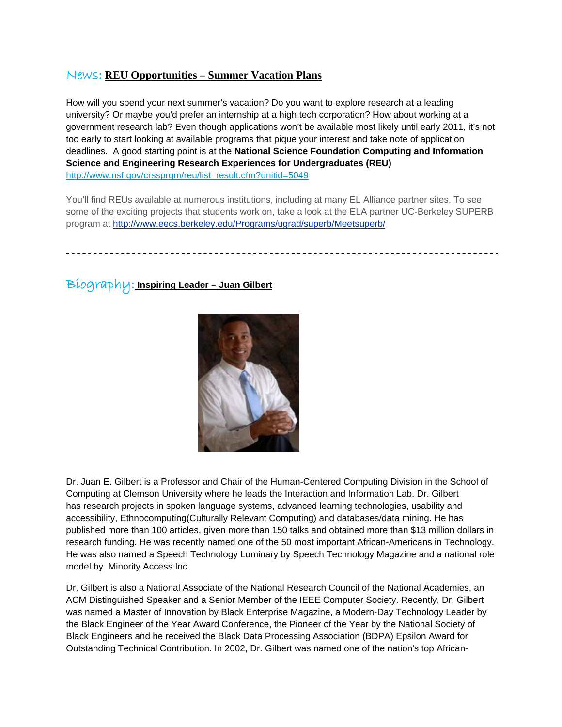# News: **REU Opportunities – Summer Vacation Plans**

How will you spend your next summer's vacation? Do you want to explore research at a leading university? Or maybe you'd prefer an internship at a high tech corporation? How about working at a government research lab? Even though applications won't be available most likely until early 2011, it's not too early to start looking at available programs that pique your interest and take note of application deadlines. A good starting point is at the **National Science Foundation Computing and Information Science and Engineering Research Experiences for Undergraduates (REU)** [http://www.nsf.gov/crssprgm/reu/list\\_result.cfm?unitid=5049](http://www.nsf.gov/crssprgm/reu/list_result.cfm?unitid=5049)

You'll find REUs available at numerous institutions, including at many EL Alliance partner sites. To see some of the exciting projects that students work on, take a look at the ELA partner UC-Berkeley SUPERB program at<http://www.eecs.berkeley.edu/Programs/ugrad/superb/Meetsuperb/>

Biography: **Inspiring Leader – Juan Gilbert**



Dr. Juan E. Gilbert is a Professor and Chair of the Human-Centered Computing Division in the School of Computing at Clemson University where he leads the Interaction and Information Lab. Dr. Gilbert has research projects in spoken language systems, advanced learning technologies, usability and accessibility, Ethnocomputing(Culturally Relevant Computing) and databases/data mining. He has published more than 100 articles, given more than 150 talks and obtained more than \$13 million dollars in research funding. He was recently named one of the 50 most important African-Americans in Technology. He was also named a Speech Technology Luminary by Speech Technology Magazine and a national role model by Minority Access Inc.

Dr. Gilbert is also a National Associate of the National Research Council of the National Academies, an ACM Distinguished Speaker and a Senior Member of the IEEE Computer Society. Recently, Dr. Gilbert was named a Master of Innovation by Black Enterprise Magazine, a Modern-Day Technology Leader by the Black Engineer of the Year Award Conference, the Pioneer of the Year by the National Society of Black Engineers and he received the Black Data Processing Association (BDPA) Epsilon Award for Outstanding Technical Contribution. In 2002, Dr. Gilbert was named one of the nation's top African